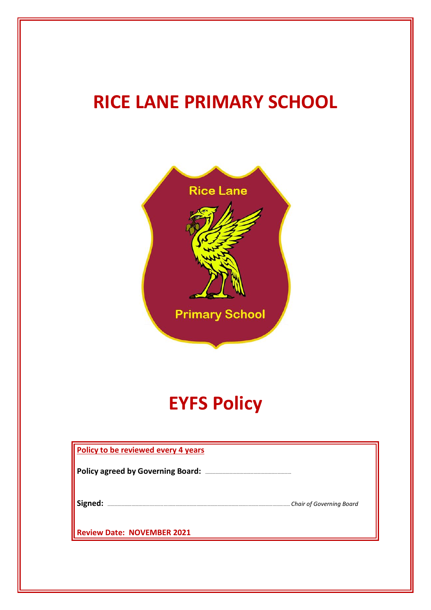# **RICE LANE PRIMARY SCHOOL**



# **EYFS Policy**

| <b>Policy to be reviewed every 4 years</b> |  |
|--------------------------------------------|--|
| <b>Policy agreed by Governing Board:</b>   |  |
| Signed:<br>Chair of Governing Board        |  |
| <b>Review Date: NOVEMBER 2021</b>          |  |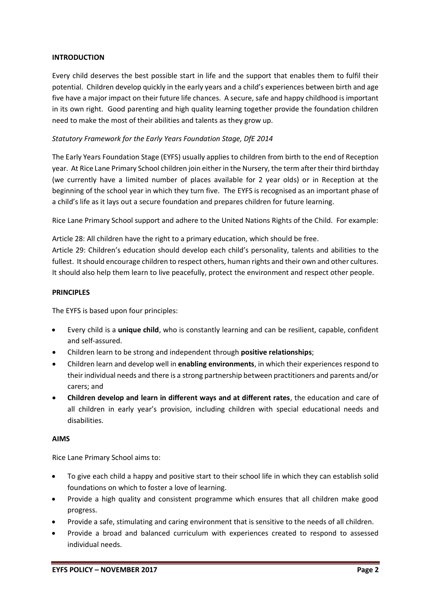#### **INTRODUCTION**

Every child deserves the best possible start in life and the support that enables them to fulfil their potential. Children develop quickly in the early years and a child's experiences between birth and age five have a major impact on their future life chances. A secure, safe and happy childhood is important in its own right. Good parenting and high quality learning together provide the foundation children need to make the most of their abilities and talents as they grow up.

# *Statutory Framework for the Early Years Foundation Stage, DfE 2014*

The Early Years Foundation Stage (EYFS) usually applies to children from birth to the end of Reception year. At Rice Lane Primary School children join either in the Nursery, the term after their third birthday (we currently have a limited number of places available for 2 year olds) or in Reception at the beginning of the school year in which they turn five. The EYFS is recognised as an important phase of a child's life as it lays out a secure foundation and prepares children for future learning.

Rice Lane Primary School support and adhere to the United Nations Rights of the Child. For example:

Article 28: All children have the right to a primary education, which should be free. Article 29: Children's education should develop each child's personality, talents and abilities to the

fullest. It should encourage children to respect others, human rights and their own and other cultures. It should also help them learn to live peacefully, protect the environment and respect other people.

#### **PRINCIPLES**

The EYFS is based upon four principles:

- Every child is a **unique child**, who is constantly learning and can be resilient, capable, confident and self-assured.
- Children learn to be strong and independent through **positive relationships**;
- Children learn and develop well in **enabling environments**, in which their experiences respond to their individual needs and there is a strong partnership between practitioners and parents and/or carers; and
- **Children develop and learn in different ways and at different rates**, the education and care of all children in early year's provision, including children with special educational needs and disabilities.

#### **AIMS**

Rice Lane Primary School aims to:

- To give each child a happy and positive start to their school life in which they can establish solid foundations on which to foster a love of learning.
- Provide a high quality and consistent programme which ensures that all children make good progress.
- Provide a safe, stimulating and caring environment that is sensitive to the needs of all children.
- Provide a broad and balanced curriculum with experiences created to respond to assessed individual needs.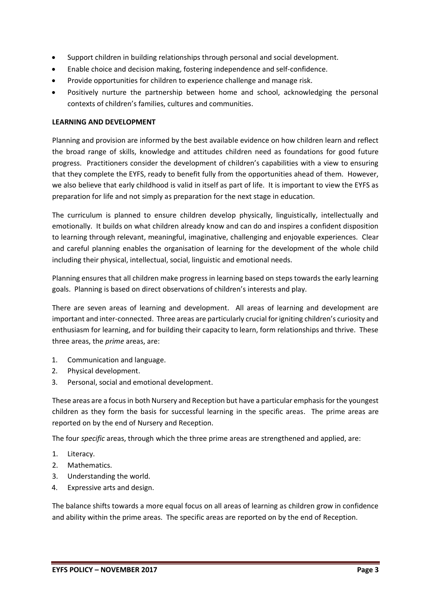- Support children in building relationships through personal and social development.
- Enable choice and decision making, fostering independence and self-confidence.
- Provide opportunities for children to experience challenge and manage risk.
- Positively nurture the partnership between home and school, acknowledging the personal contexts of children's families, cultures and communities.

## **LEARNING AND DEVELOPMENT**

Planning and provision are informed by the best available evidence on how children learn and reflect the broad range of skills, knowledge and attitudes children need as foundations for good future progress. Practitioners consider the development of children's capabilities with a view to ensuring that they complete the EYFS, ready to benefit fully from the opportunities ahead of them. However, we also believe that early childhood is valid in itself as part of life. It is important to view the EYFS as preparation for life and not simply as preparation for the next stage in education.

The curriculum is planned to ensure children develop physically, linguistically, intellectually and emotionally. It builds on what children already know and can do and inspires a confident disposition to learning through relevant, meaningful, imaginative, challenging and enjoyable experiences. Clear and careful planning enables the organisation of learning for the development of the whole child including their physical, intellectual, social, linguistic and emotional needs.

Planning ensures that all children make progress in learning based on steps towards the early learning goals. Planning is based on direct observations of children's interests and play.

There are seven areas of learning and development. All areas of learning and development are important and inter-connected. Three areas are particularly crucial for igniting children's curiosity and enthusiasm for learning, and for building their capacity to learn, form relationships and thrive. These three areas, the *prime* areas, are:

- 1. Communication and language.
- 2. Physical development.
- 3. Personal, social and emotional development.

These areas are a focus in both Nursery and Reception but have a particular emphasis for the youngest children as they form the basis for successful learning in the specific areas. The prime areas are reported on by the end of Nursery and Reception.

The four *specific* areas, through which the three prime areas are strengthened and applied, are:

- 1. Literacy.
- 2. Mathematics.
- 3. Understanding the world.
- 4. Expressive arts and design.

The balance shifts towards a more equal focus on all areas of learning as children grow in confidence and ability within the prime areas. The specific areas are reported on by the end of Reception.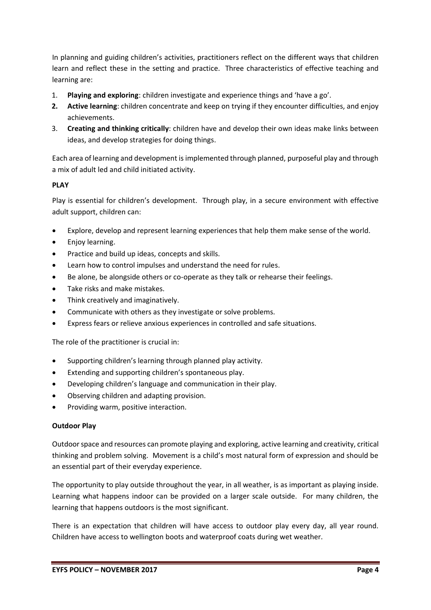In planning and guiding children's activities, practitioners reflect on the different ways that children learn and reflect these in the setting and practice. Three characteristics of effective teaching and learning are:

- 1. **Playing and exploring**: children investigate and experience things and 'have a go'.
- **2. Active learning**: children concentrate and keep on trying if they encounter difficulties, and enjoy achievements.
- 3. **Creating and thinking critically**: children have and develop their own ideas make links between ideas, and develop strategies for doing things.

Each area of learning and development is implemented through planned, purposeful play and through a mix of adult led and child initiated activity.

# **PLAY**

Play is essential for children's development. Through play, in a secure environment with effective adult support, children can:

- Explore, develop and represent learning experiences that help them make sense of the world.
- Enjoy learning.
- Practice and build up ideas, concepts and skills.
- Learn how to control impulses and understand the need for rules.
- Be alone, be alongside others or co-operate as they talk or rehearse their feelings.
- Take risks and make mistakes.
- Think creatively and imaginatively.
- Communicate with others as they investigate or solve problems.
- Express fears or relieve anxious experiences in controlled and safe situations.

The role of the practitioner is crucial in:

- Supporting children's learning through planned play activity.
- Extending and supporting children's spontaneous play.
- Developing children's language and communication in their play.
- Observing children and adapting provision.
- Providing warm, positive interaction.

# **Outdoor Play**

Outdoor space and resources can promote playing and exploring, active learning and creativity, critical thinking and problem solving. Movement is a child's most natural form of expression and should be an essential part of their everyday experience.

The opportunity to play outside throughout the year, in all weather, is as important as playing inside. Learning what happens indoor can be provided on a larger scale outside. For many children, the learning that happens outdoors is the most significant.

There is an expectation that children will have access to outdoor play every day, all year round. Children have access to wellington boots and waterproof coats during wet weather.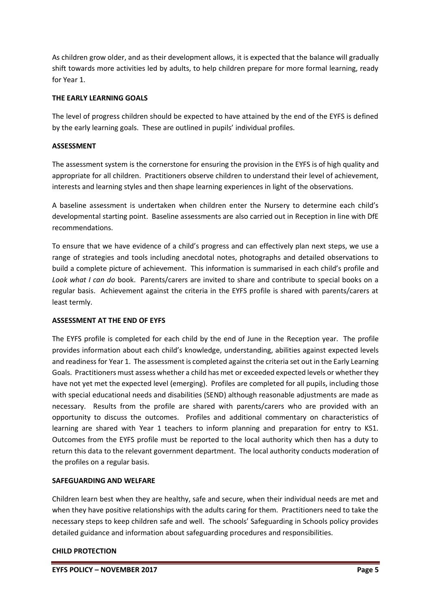As children grow older, and as their development allows, it is expected that the balance will gradually shift towards more activities led by adults, to help children prepare for more formal learning, ready for Year 1.

## **THE EARLY LEARNING GOALS**

The level of progress children should be expected to have attained by the end of the EYFS is defined by the early learning goals. These are outlined in pupils' individual profiles.

## **ASSESSMENT**

The assessment system is the cornerstone for ensuring the provision in the EYFS is of high quality and appropriate for all children. Practitioners observe children to understand their level of achievement, interests and learning styles and then shape learning experiences in light of the observations.

A baseline assessment is undertaken when children enter the Nursery to determine each child's developmental starting point. Baseline assessments are also carried out in Reception in line with DfE recommendations.

To ensure that we have evidence of a child's progress and can effectively plan next steps, we use a range of strategies and tools including anecdotal notes, photographs and detailed observations to build a complete picture of achievement. This information is summarised in each child's profile and *Look what I can do* book. Parents/carers are invited to share and contribute to special books on a regular basis. Achievement against the criteria in the EYFS profile is shared with parents/carers at least termly.

# **ASSESSMENT AT THE END OF EYFS**

The EYFS profile is completed for each child by the end of June in the Reception year. The profile provides information about each child's knowledge, understanding, abilities against expected levels and readiness for Year 1. The assessment is completed against the criteria set out in the Early Learning Goals. Practitioners must assess whether a child has met or exceeded expected levels or whether they have not yet met the expected level (emerging). Profiles are completed for all pupils, including those with special educational needs and disabilities (SEND) although reasonable adjustments are made as necessary. Results from the profile are shared with parents/carers who are provided with an opportunity to discuss the outcomes. Profiles and additional commentary on characteristics of learning are shared with Year 1 teachers to inform planning and preparation for entry to KS1. Outcomes from the EYFS profile must be reported to the local authority which then has a duty to return this data to the relevant government department. The local authority conducts moderation of the profiles on a regular basis.

# **SAFEGUARDING AND WELFARE**

Children learn best when they are healthy, safe and secure, when their individual needs are met and when they have positive relationships with the adults caring for them. Practitioners need to take the necessary steps to keep children safe and well. The schools' Safeguarding in Schools policy provides detailed guidance and information about safeguarding procedures and responsibilities.

#### **CHILD PROTECTION**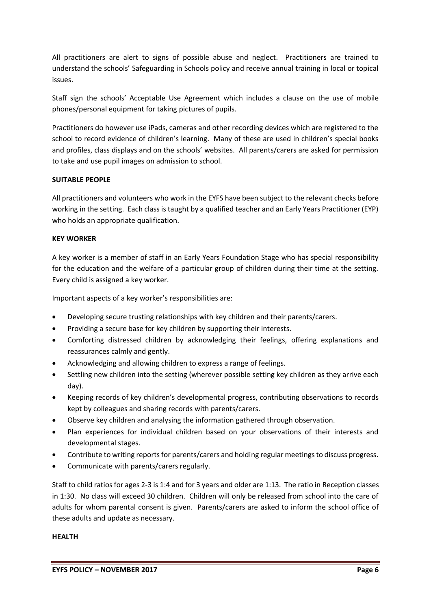All practitioners are alert to signs of possible abuse and neglect. Practitioners are trained to understand the schools' Safeguarding in Schools policy and receive annual training in local or topical issues.

Staff sign the schools' Acceptable Use Agreement which includes a clause on the use of mobile phones/personal equipment for taking pictures of pupils.

Practitioners do however use iPads, cameras and other recording devices which are registered to the school to record evidence of children's learning. Many of these are used in children's special books and profiles, class displays and on the schools' websites. All parents/carers are asked for permission to take and use pupil images on admission to school.

## **SUITABLE PEOPLE**

All practitioners and volunteers who work in the EYFS have been subject to the relevant checks before working in the setting. Each class is taught by a qualified teacher and an Early Years Practitioner (EYP) who holds an appropriate qualification.

## **KEY WORKER**

A key worker is a member of staff in an Early Years Foundation Stage who has special responsibility for the education and the welfare of a particular group of children during their time at the setting. Every child is assigned a key worker.

Important aspects of a key worker's responsibilities are:

- Developing secure trusting relationships with key children and their parents/carers.
- Providing a secure base for key children by supporting their interests.
- Comforting distressed children by acknowledging their feelings, offering explanations and reassurances calmly and gently.
- Acknowledging and allowing children to express a range of feelings.
- Settling new children into the setting (wherever possible setting key children as they arrive each day).
- Keeping records of key children's developmental progress, contributing observations to records kept by colleagues and sharing records with parents/carers.
- Observe key children and analysing the information gathered through observation.
- Plan experiences for individual children based on your observations of their interests and developmental stages.
- Contribute to writing reports for parents/carers and holding regular meetings to discuss progress.
- Communicate with parents/carers regularly.

Staff to child ratios for ages 2-3 is 1:4 and for 3 years and older are 1:13. The ratio in Reception classes in 1:30. No class will exceed 30 children. Children will only be released from school into the care of adults for whom parental consent is given. Parents/carers are asked to inform the school office of these adults and update as necessary.

#### **HEALTH**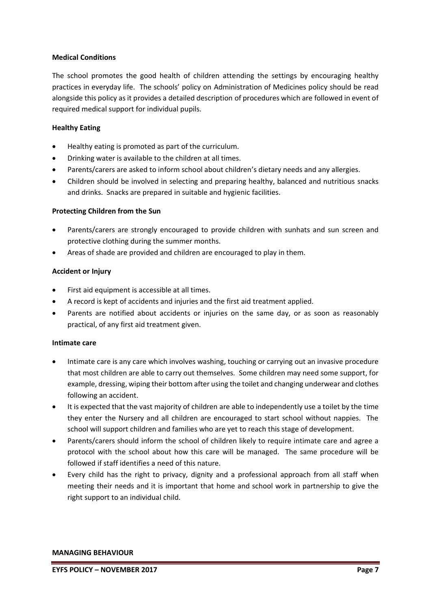#### **Medical Conditions**

The school promotes the good health of children attending the settings by encouraging healthy practices in everyday life. The schools' policy on Administration of Medicines policy should be read alongside this policy as it provides a detailed description of procedures which are followed in event of required medical support for individual pupils.

## **Healthy Eating**

- Healthy eating is promoted as part of the curriculum.
- Drinking water is available to the children at all times.
- Parents/carers are asked to inform school about children's dietary needs and any allergies.
- Children should be involved in selecting and preparing healthy, balanced and nutritious snacks and drinks. Snacks are prepared in suitable and hygienic facilities.

## **Protecting Children from the Sun**

- Parents/carers are strongly encouraged to provide children with sunhats and sun screen and protective clothing during the summer months.
- Areas of shade are provided and children are encouraged to play in them.

## **Accident or Injury**

- First aid equipment is accessible at all times.
- A record is kept of accidents and injuries and the first aid treatment applied.
- Parents are notified about accidents or injuries on the same day, or as soon as reasonably practical, of any first aid treatment given.

#### **Intimate care**

- Intimate care is any care which involves washing, touching or carrying out an invasive procedure that most children are able to carry out themselves. Some children may need some support, for example, dressing, wiping their bottom after using the toilet and changing underwear and clothes following an accident.
- It is expected that the vast majority of children are able to independently use a toilet by the time they enter the Nursery and all children are encouraged to start school without nappies. The school will support children and families who are yet to reach this stage of development.
- Parents/carers should inform the school of children likely to require intimate care and agree a protocol with the school about how this care will be managed. The same procedure will be followed if staff identifies a need of this nature.
- Every child has the right to privacy, dignity and a professional approach from all staff when meeting their needs and it is important that home and school work in partnership to give the right support to an individual child.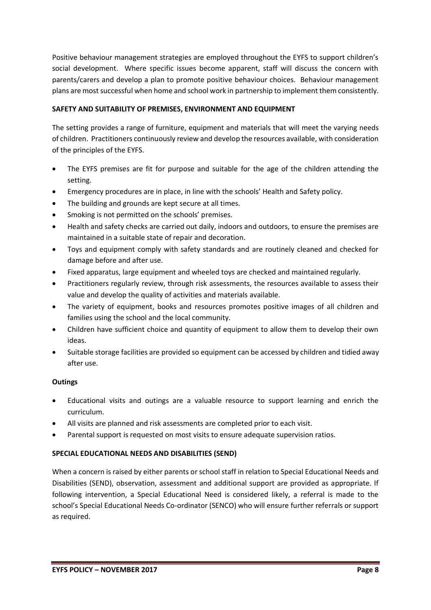Positive behaviour management strategies are employed throughout the EYFS to support children's social development. Where specific issues become apparent, staff will discuss the concern with parents/carers and develop a plan to promote positive behaviour choices. Behaviour management plans are most successful when home and school work in partnership to implement them consistently.

# **SAFETY AND SUITABILITY OF PREMISES, ENVIRONMENT AND EQUIPMENT**

The setting provides a range of furniture, equipment and materials that will meet the varying needs of children. Practitioners continuously review and develop the resources available, with consideration of the principles of the EYFS.

- The EYFS premises are fit for purpose and suitable for the age of the children attending the setting.
- Emergency procedures are in place, in line with the schools' Health and Safety policy.
- The building and grounds are kept secure at all times.
- Smoking is not permitted on the schools' premises.
- Health and safety checks are carried out daily, indoors and outdoors, to ensure the premises are maintained in a suitable state of repair and decoration.
- Toys and equipment comply with safety standards and are routinely cleaned and checked for damage before and after use.
- Fixed apparatus, large equipment and wheeled toys are checked and maintained regularly.
- Practitioners regularly review, through risk assessments, the resources available to assess their value and develop the quality of activities and materials available.
- The variety of equipment, books and resources promotes positive images of all children and families using the school and the local community.
- Children have sufficient choice and quantity of equipment to allow them to develop their own ideas.
- Suitable storage facilities are provided so equipment can be accessed by children and tidied away after use.

# **Outings**

- Educational visits and outings are a valuable resource to support learning and enrich the curriculum.
- All visits are planned and risk assessments are completed prior to each visit.
- Parental support is requested on most visits to ensure adequate supervision ratios.

# **SPECIAL EDUCATIONAL NEEDS AND DISABILITIES (SEND)**

When a concern is raised by either parents or school staff in relation to Special Educational Needs and Disabilities (SEND), observation, assessment and additional support are provided as appropriate. If following intervention, a Special Educational Need is considered likely, a referral is made to the school's Special Educational Needs Co-ordinator (SENCO) who will ensure further referrals or support as required.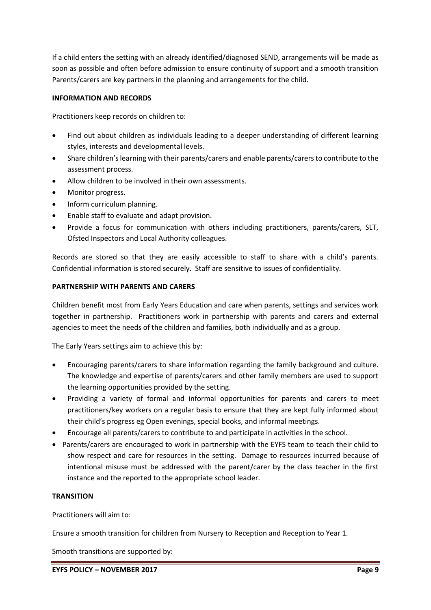If a child enters the setting with an already identified/diagnosed SEND, arrangements will be made as soon as possible and often before admission to ensure continuity of support and a smooth transition Parents/carers are key partners in the planning and arrangements for the child.

## **INFORMATION AND RECORDS**

Practitioners keep records on children to:

- Find out about children as individuals leading to a deeper understanding of different learning styles, interests and developmental levels.
- Share children's learning with their parents/carers and enable parents/carers to contribute to the assessment process.
- Allow children to be involved in their own assessments.
- Monitor progress.
- Inform curriculum planning.
- Enable staff to evaluate and adapt provision.
- Provide a focus for communication with others including practitioners, parents/carers, SLT, Ofsted Inspectors and Local Authority colleagues.

Records are stored so that they are easily accessible to staff to share with a child's parents. Confidential information is stored securely. Staff are sensitive to issues of confidentiality.

## **PARTNERSHIP WITH PARENTS AND CARERS**

Children benefit most from Early Years Education and care when parents, settings and services work together in partnership. Practitioners work in partnership with parents and carers and external agencies to meet the needs of the children and families, both individually and as a group.

The Early Years settings aim to achieve this by:

- Encouraging parents/carers to share information regarding the family background and culture. The knowledge and expertise of parents/carers and other family members are used to support the learning opportunities provided by the setting.
- Providing a variety of formal and informal opportunities for parents and carers to meet practitioners/key workers on a regular basis to ensure that they are kept fully informed about their child's progress eg Open evenings, special books, and informal meetings.
- Encourage all parents/carers to contribute to and participate in activities in the school.
- Parents/carers are encouraged to work in partnership with the EYFS team to teach their child to show respect and care for resources in the setting. Damage to resources incurred because of intentional misuse must be addressed with the parent/carer by the class teacher in the first instance and the reported to the appropriate school leader.

#### **TRANSITION**

Practitioners will aim to:

Ensure a smooth transition for children from Nursery to Reception and Reception to Year 1.

Smooth transitions are supported by: